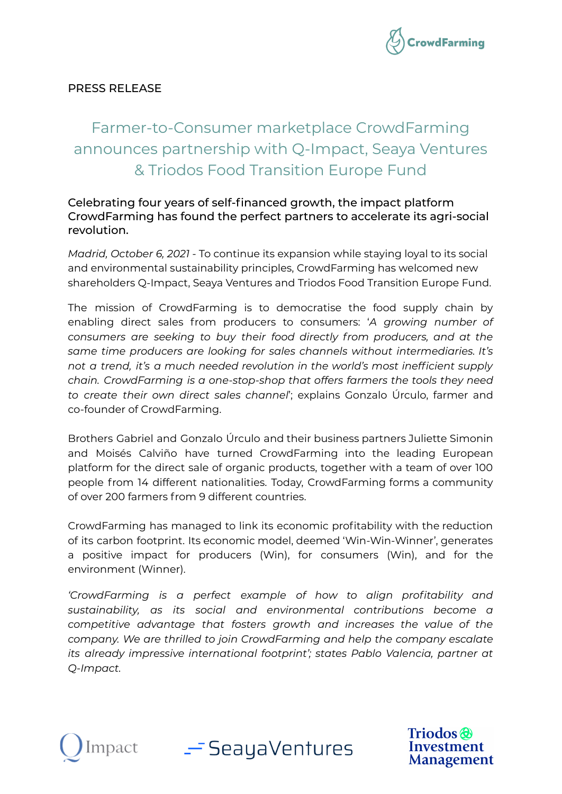

# PRESS RELEASE

# Farmer-to-Consumer marketplace CrowdFarming announces partnership with Q-Impact, Seaya Ventures & Triodos Food Transition Europe Fund

## Celebrating four years of self-financed growth, the impact platform CrowdFarming has found the perfect partners to accelerate its agri-social revolution.

*Madrid, October 6, 2021* - To continue its expansion while staying loyal to its social and environmental sustainability principles, CrowdFarming has welcomed new shareholders Q-Impact, Seaya Ventures and Triodos Food Transition Europe Fund.

The mission of CrowdFarming is to democratise the food supply chain by enabling direct sales from producers to consumers: '*A growing number of consumers are seeking to buy their food directly from producers, and at the same time producers are looking for sales channels without intermediaries. It's not a trend, it's a much needed revolution in the world's most inefficient supply chain. CrowdFarming is a one-stop-shop that offers farmers the tools they need to create their own direct sales channel*'; explains Gonzalo Úrculo, farmer and co-founder of CrowdFarming.

Brothers Gabriel and Gonzalo Úrculo and their business partners Juliette Simonin and Moisés Calviño have turned CrowdFarming into the leading European platform for the direct sale of organic products, together with a team of over 100 people from 14 different nationalities. Today, CrowdFarming forms a community of over 200 farmers from 9 different countries.

CrowdFarming has managed to link its economic profitability with the reduction of its carbon footprint. Its economic model, deemed 'Win-Win-Winner', generates a positive impact for producers (Win), for consumers (Win), and for the environment (Winner).

*'CrowdFarming is a perfect example of how to align profitability and sustainability, as its social and environmental contributions become a competitive advantage that fosters growth and increases the value of the company. We are thrilled to join CrowdFarming and help the company escalate its already impressive international footprint'; states Pablo Valencia, partner at Q-Impact.*



— SeayaVentures

**Triodos** Investment **Management**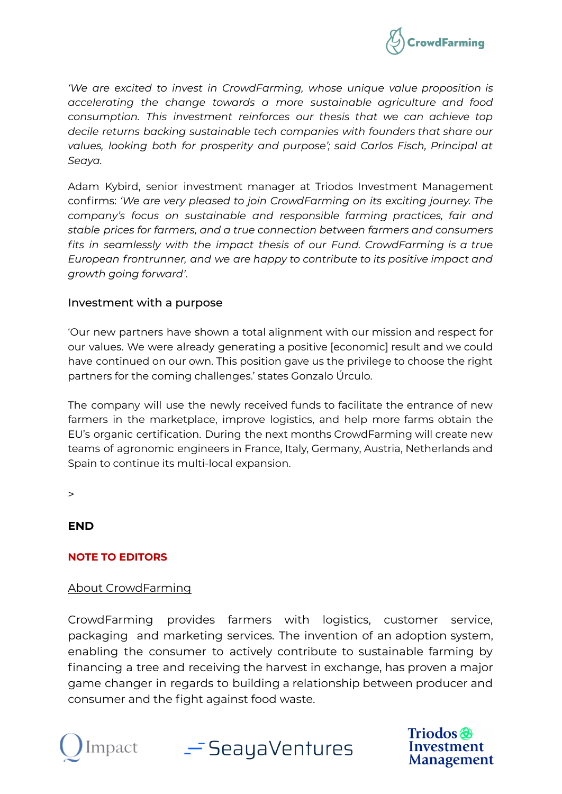

*'We are excited to invest in CrowdFarming, whose unique value proposition is accelerating the change towards a more sustainable agriculture and food consumption. This investment reinforces our thesis that we can achieve top decile returns backing sustainable tech companies with founders that share our values, looking both for prosperity and purpose'; said Carlos Fisch, Principal at Seaya.*

Adam Kybird, senior investment manager at Triodos Investment Management confirms: *'We are very pleased to join CrowdFarming on its exciting journey. The company's focus on sustainable and responsible farming practices, fair and stable prices for farmers, and a true connection between farmers and consumers fits in seamlessly with the impact thesis of our Fund. CrowdFarming is a true European frontrunner, and we are happy to contribute to its positive impact and growth going forward'.*

#### Investment with a purpose

'Our new partners have shown a total alignment with our mission and respect for our values. We were already generating a positive [economic] result and we could have continued on our own. This position gave us the privilege to choose the right partners for the coming challenges.' states Gonzalo Úrculo.

The company will use the newly received funds to facilitate the entrance of new farmers in the marketplace, improve logistics, and help more farms obtain the EU's organic certification. During the next months CrowdFarming will create new teams of agronomic engineers in France, Italy, Germany, Austria, Netherlands and Spain to continue its multi-local expansion.

 $\,>$ 

## **END**

#### **NOTE TO EDITORS**

#### About CrowdFarming

CrowdFarming provides farmers with logistics, customer service, packaging and marketing services. The invention of an adoption system, enabling the consumer to actively contribute to sustainable farming by financing a tree and receiving the harvest in exchange, has proven a major game changer in regards to building a relationship between producer and consumer and the fight against food waste.



\_\_<sup>\_\_</sup>SeayaVentures

**Triodos** Investment **Management**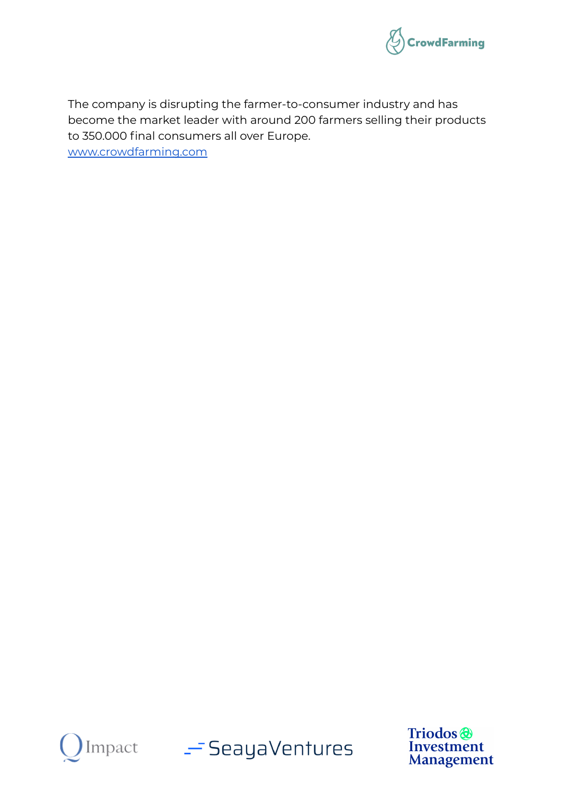

The company is disrupting the farmer-to-consumer industry and has become the market leader with around 200 farmers selling their products to 350.000 final consumers all over Europe.

[www.crowdfarming.com](http://www.crowdfarming.com)



Impact - SeayaVentures

Triodos<sup>®</sup> Investment **Management**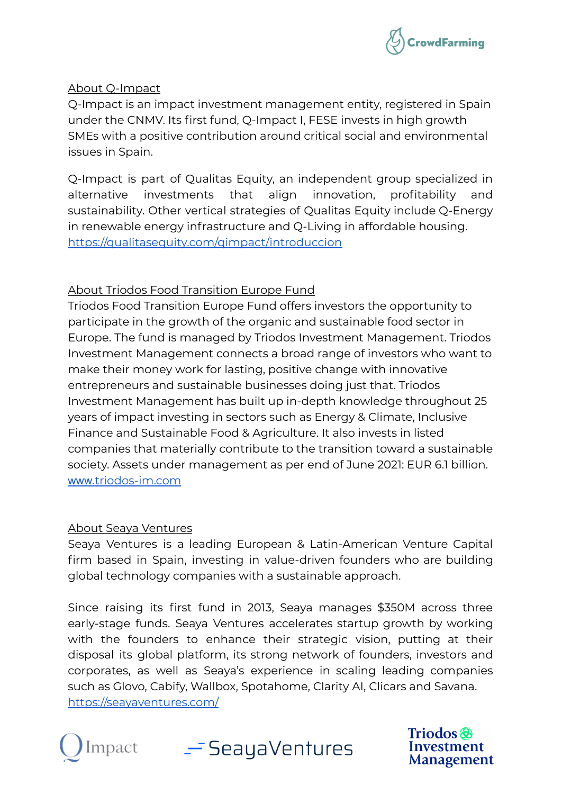

## About Q-Impact

Q-Impact is an impact investment management entity, registered in Spain under the CNMV. Its first fund, Q-Impact I, FESE invests in high growth SMEs with a positive contribution around critical social and environmental issues in Spain.

Q-Impact is part of Qualitas Equity, an independent group specialized in alternative investments that align innovation, profitability and sustainability. Other vertical strategies of Qualitas Equity include Q-Energy in renewable energy infrastructure and Q-Living in affordable housing. <https://qualitasequity.com/qimpact/introduccion>

# About Triodos Food Transition Europe Fund

Triodos Food Transition Europe Fund offers investors the opportunity to participate in the growth of the organic and sustainable food sector in Europe. The fund is managed by Triodos Investment Management. Triodos Investment Management connects a broad range of investors who want to make their money work for lasting, positive change with innovative entrepreneurs and sustainable businesses doing just that. Triodos Investment Management has built up in-depth knowledge throughout 25 years of impact investing in sectors such as Energy & Climate, Inclusive Finance and Sustainable Food & Agriculture. It also invests in listed companies that materially contribute to the transition toward a sustainable society. Assets under management as per end of June 2021: EUR 6.1 billion. www.[triodos-im.com](http://www.triodos-im.com)

## About Seaya Ventures

Seaya Ventures is a leading European & Latin-American Venture Capital firm based in Spain, investing in value-driven founders who are building global technology companies with a sustainable approach.

Since raising its first fund in 2013, Seaya manages \$350M across three early-stage funds. Seaya Ventures accelerates startup growth by working with the founders to enhance their strategic vision, putting at their disposal its global platform, its strong network of founders, investors and corporates, as well as Seaya's experience in scaling leading companies such as Glovo, Cabify, Wallbox, Spotahome, Clarity AI, Clicars and Savana. <https://seayaventures.com/>



 $-$  SeayaVentures

**Triodos** Investment Management